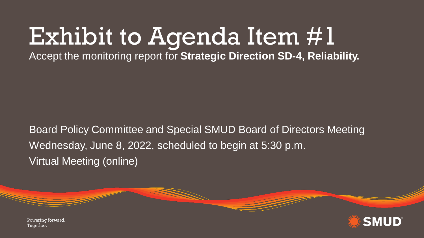# Exhibit to Agenda Item #1

Accept the monitoring report for **Strategic Direction SD-4, Reliability.**

Board Policy Committee and Special SMUD Board of Directors Meeting Wednesday, June 8, 2022, scheduled to begin at 5:30 p.m. Virtual Meeting (online)



Powering forward. Together.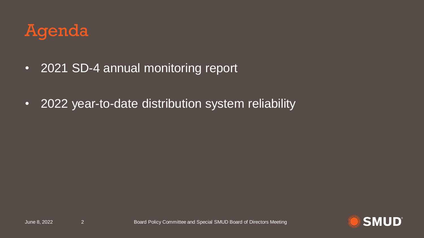### Agenda

- 2021 SD-4 annual monitoring report
- 2022 year-to-date distribution system reliability

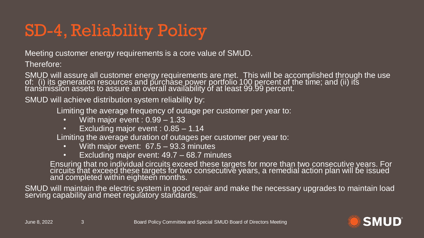## SD-4, Reliability Policy

Meeting customer energy requirements is a core value of SMUD.

Therefore:

SMUD will assure all customer energy requirements are met. This will be accomplished through the use of: (i) its generation resources and purchase power portfolio 100 percent of the time; and (ii) its transmission assets to assure an overall availability of at least 99.99 percent.

SMUD will achieve distribution system reliability by:

Limiting the average frequency of outage per customer per year to:

- With major event : 0.99 1.33
- Excluding major event : 0.85 1.14

Limiting the average duration of outages per customer per year to:

- With major event: 67.5 93.3 minutes
- Excluding major event: 49.7 68.7 minutes

Ensuring that no individual circuits exceed these targets for more than two consecutive years. For circuits that exceed these targets for two consecutive years, a remedial action plan will be issued and completed within eighteen months.

SMUD will maintain the electric system in good repair and make the necessary upgrades to maintain load serving capability and meet regulatory standards.  $^{\prime}$ 

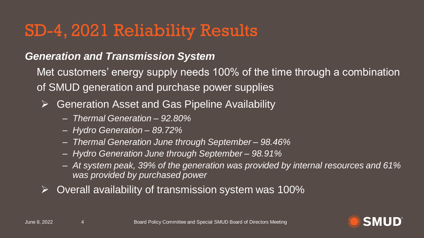#### SD-4, 2021 Reliability Results

#### *Generation and Transmission System*

Met customers' energy supply needs 100% of the time through a combination of SMUD generation and purchase power supplies

- ➢ Generation Asset and Gas Pipeline Availability
	- ‒ *Thermal Generation – 92.80%*
	- ‒ *Hydro Generation – 89.72%*
	- ‒ *Thermal Generation June through September – 98.46%*
	- ‒ *Hydro Generation June through September – 98.91%*
	- ‒ *At system peak, 39% of the generation was provided by internal resources and 61% was provided by purchased power*
- ➢ Overall availability of transmission system was 100%

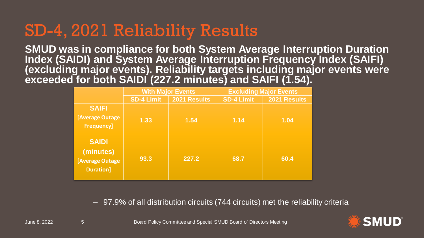#### SD-4, 2021 Reliability Results

**SMUD was in compliance for both System Average Interruption Duration Index (SAIDI) and System Average Interruption Frequency Index (SAIFI) (excluding major events). Reliability targets including major events were exceeded for both SAIDI (227.2 minutes) and SAIFI (1.54).** 

|                                                                                     | <b>With Major Events</b> |              | <b>Excluding Major Events</b> |              |
|-------------------------------------------------------------------------------------|--------------------------|--------------|-------------------------------|--------------|
|                                                                                     | <b>SD-4 Limit</b>        | 2021 Results | <b>SD-4 Limit</b>             | 2021 Results |
| <b>SAIFI</b><br>[Average Outage<br><b>Frequency]</b>                                | 1.33                     | 1.54         | 1.14                          | 1.04         |
| <b>SAIDI</b><br>(minutes)<br><b>[Average Outage<sup>]</sup></b><br><b>Duration]</b> | 93.3                     | 227.2        | 68.7                          | 60.4         |

– 97.9% of all distribution circuits (744 circuits) met the reliability criteria

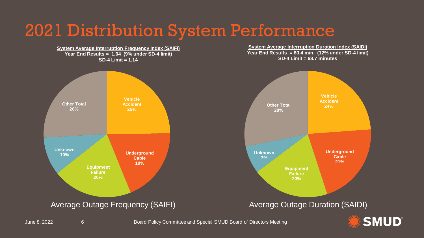#### 2021 Distribution System Performance

**System Average Interruption Frequency Index (SAIFI) Year End Results = 1.04 (9% under SD-4 limit) SD-4 Limit = 1.14 Vehicle Accident 25% Other Total 26%**

> **Underground Cable 19%**

**System Average Interruption Duration Index (SAIDI) Year End Results = 60.4 min. (12% under SD-4 limit) SD-4 Limit = 68.7 minutes**



Average Outage Frequency (SAIFI) Average Outage Duration (SAIDI)



**Equipment Failure 20%**

**Unknown 10%**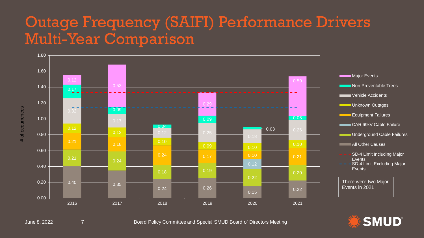#### Outage Frequency (SAIFI) Performance Drivers Multi-Year Comparison





June 8, 2022 7 Board Policy Committee and Special SMUD Board of Directors Meeting

**SMUD®**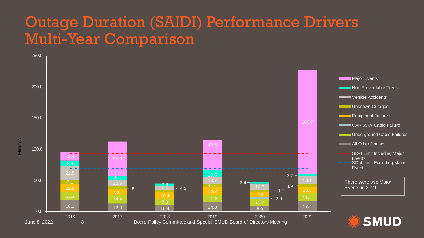#### Outage Duration (SAIDI) Performance Drivers Multi-Year Comparison

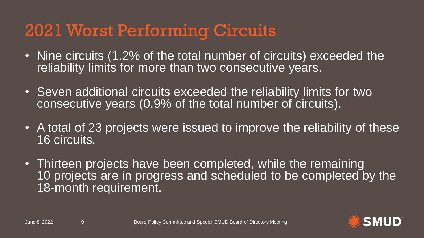#### 2021 Worst Performing Circuits

- Nine circuits (1.2% of the total number of circuits) exceeded the reliability limits for more than two consecutive years.
- Seven additional circuits exceeded the reliability limits for two consecutive years (0.9% of the total number of circuits).
- A total of 23 projects were issued to improve the reliability of these 16 circuits.
- Thirteen projects have been completed, while the remaining 10 projects are in progress and scheduled to be completed by the 18-month requirement.

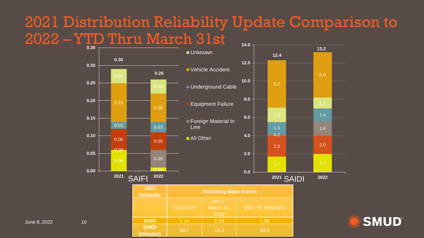#### 2021 Distribution Reliability Update Comparison to 2022 –YTD Thru March 31st **0.35 14.0**



**(minutes)** 68.7 13.2 59.1

**SMUD**